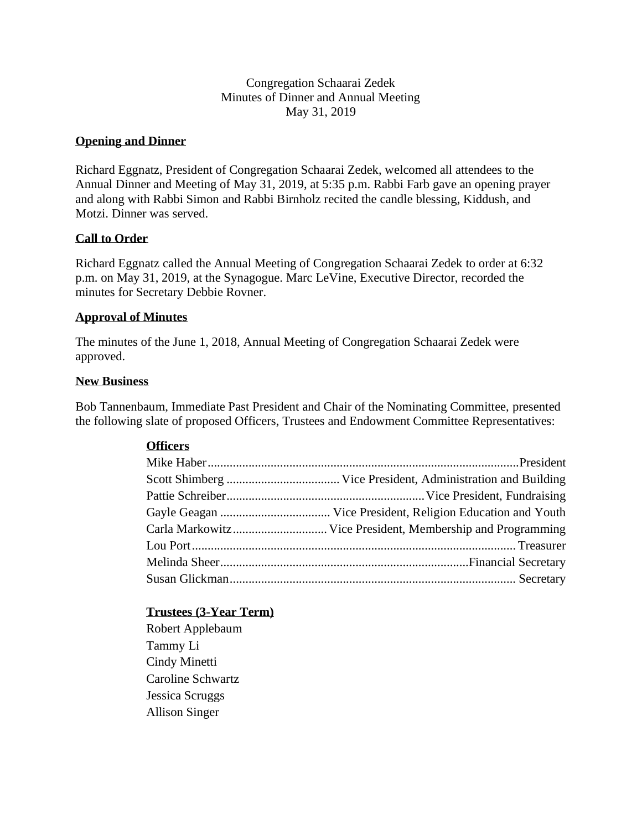Congregation Schaarai Zedek Minutes of Dinner and Annual Meeting May 31, 2019

# **Opening and Dinner**

Richard Eggnatz, President of Congregation Schaarai Zedek, welcomed all attendees to the Annual Dinner and Meeting of May 31, 2019, at 5:35 p.m. Rabbi Farb gave an opening prayer and along with Rabbi Simon and Rabbi Birnholz recited the candle blessing, Kiddush, and Motzi. Dinner was served.

# **Call to Order**

Richard Eggnatz called the Annual Meeting of Congregation Schaarai Zedek to order at 6:32 p.m. on May 31, 2019, at the Synagogue. Marc LeVine, Executive Director, recorded the minutes for Secretary Debbie Rovner.

### **Approval of Minutes**

The minutes of the June 1, 2018, Annual Meeting of Congregation Schaarai Zedek were approved.

#### **New Business**

Bob Tannenbaum, Immediate Past President and Chair of the Nominating Committee, presented the following slate of proposed Officers, Trustees and Endowment Committee Representatives:

### **Officers**

| Carla Markowitz Vice President, Membership and Programming |
|------------------------------------------------------------|
|                                                            |
|                                                            |
|                                                            |
|                                                            |

# **Trustees (3-Year Term)**

Robert Applebaum Tammy Li Cindy Minetti Caroline Schwartz Jessica Scruggs Allison Singer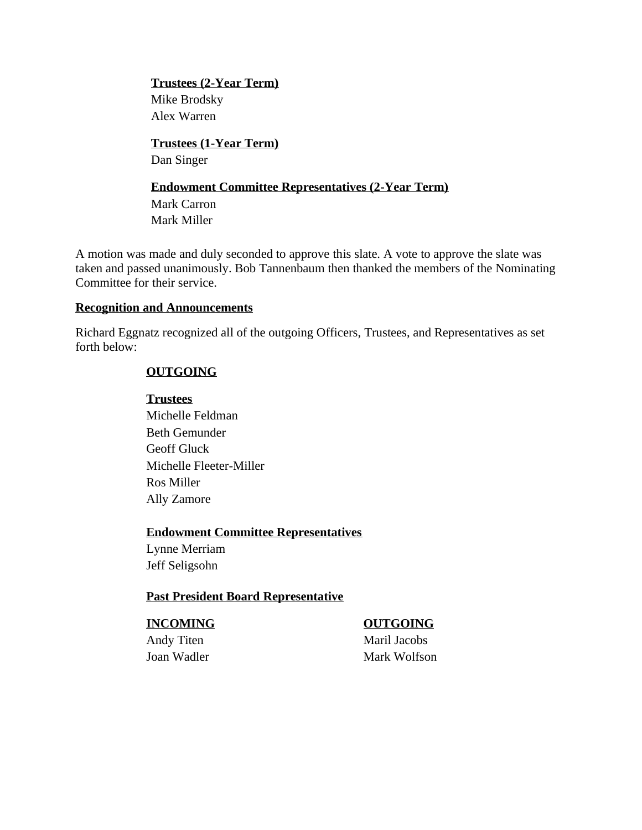**Trustees (2-Year Term)** Mike Brodsky Alex Warren

**Trustees (1-Year Term)** Dan Singer

# **Endowment Committee Representatives (2-Year Term)**

Mark Carron Mark Miller

A motion was made and duly seconded to approve this slate. A vote to approve the slate was taken and passed unanimously. Bob Tannenbaum then thanked the members of the Nominating Committee for their service.

### **Recognition and Announcements**

Richard Eggnatz recognized all of the outgoing Officers, Trustees, and Representatives as set forth below:

# **OUTGOING**

### **Trustees**

Michelle Feldman Beth Gemunder Geoff Gluck Michelle Fleeter-Miller Ros Miller Ally Zamore

# **Endowment Committee Representatives**

Lynne Merriam Jeff Seligsohn

# **Past President Board Representative**

# **INCOMING OUTGOING**

Andy Titen Maril Jacobs Joan Wadler Mark Wolfson